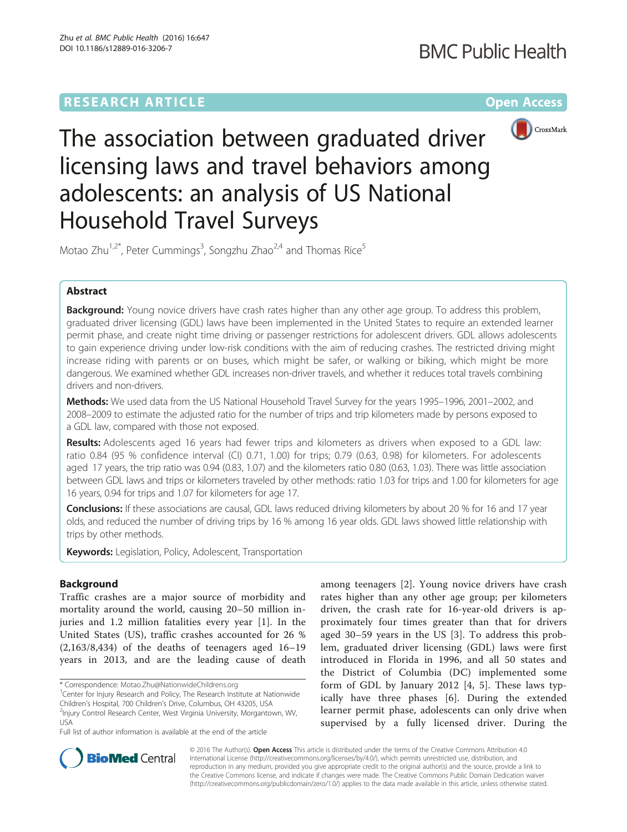# **RESEARCH ARTICLE External Structure Community Community Community Community Community Community Community Community**



The association between graduated driver licensing laws and travel behaviors among adolescents: an analysis of US National Household Travel Surveys

Motao Zhu<sup>1,2\*</sup>, Peter Cummings<sup>3</sup>, Songzhu Zhao<sup>2,4</sup> and Thomas Rice<sup>5</sup>

## Abstract

Background: Young novice drivers have crash rates higher than any other age group. To address this problem, graduated driver licensing (GDL) laws have been implemented in the United States to require an extended learner permit phase, and create night time driving or passenger restrictions for adolescent drivers. GDL allows adolescents to gain experience driving under low-risk conditions with the aim of reducing crashes. The restricted driving might increase riding with parents or on buses, which might be safer, or walking or biking, which might be more dangerous. We examined whether GDL increases non-driver travels, and whether it reduces total travels combining drivers and non-drivers.

Methods: We used data from the US National Household Travel Survey for the years 1995–1996, 2001–2002, and 2008–2009 to estimate the adjusted ratio for the number of trips and trip kilometers made by persons exposed to a GDL law, compared with those not exposed.

Results: Adolescents aged 16 years had fewer trips and kilometers as drivers when exposed to a GDL law: ratio 0.84 (95 % confidence interval (CI) 0.71, 1.00) for trips; 0.79 (0.63, 0.98) for kilometers. For adolescents aged 17 years, the trip ratio was 0.94 (0.83, 1.07) and the kilometers ratio 0.80 (0.63, 1.03). There was little association between GDL laws and trips or kilometers traveled by other methods: ratio 1.03 for trips and 1.00 for kilometers for age 16 years, 0.94 for trips and 1.07 for kilometers for age 17.

Conclusions: If these associations are causal, GDL laws reduced driving kilometers by about 20 % for 16 and 17 year olds, and reduced the number of driving trips by 16 % among 16 year olds. GDL laws showed little relationship with trips by other methods.

**Keywords:** Legislation, Policy, Adolescent, Transportation

## Background

Traffic crashes are a major source of morbidity and mortality around the world, causing 20–50 million injuries and 1.2 million fatalities every year [\[1](#page-4-0)]. In the United States (US), traffic crashes accounted for 26 % (2,163/8,434) of the deaths of teenagers aged 16–19 years in 2013, and are the leading cause of death

Full list of author information is available at the end of the article

among teenagers [[2\]](#page-4-0). Young novice drivers have crash rates higher than any other age group; per kilometers driven, the crash rate for 16-year-old drivers is approximately four times greater than that for drivers aged 30–59 years in the US [\[3](#page-4-0)]. To address this problem, graduated driver licensing (GDL) laws were first introduced in Florida in 1996, and all 50 states and the District of Columbia (DC) implemented some form of GDL by January 2012 [[4,](#page-4-0) [5\]](#page-5-0). These laws typically have three phases [\[6](#page-5-0)]. During the extended learner permit phase, adolescents can only drive when supervised by a fully licensed driver. During the



© 2016 The Author(s). Open Access This article is distributed under the terms of the Creative Commons Attribution 4.0 International License [\(http://creativecommons.org/licenses/by/4.0/](http://creativecommons.org/licenses/by/4.0/)), which permits unrestricted use, distribution, and reproduction in any medium, provided you give appropriate credit to the original author(s) and the source, provide a link to the Creative Commons license, and indicate if changes were made. The Creative Commons Public Domain Dedication waiver [\(http://creativecommons.org/publicdomain/zero/1.0/](http://creativecommons.org/publicdomain/zero/1.0/)) applies to the data made available in this article, unless otherwise stated.

<sup>\*</sup> Correspondence: [Motao.Zhu@NationwideChildrens.org](mailto:Motao.Zhu@NationwideChildrens.org) <sup>1</sup>

<sup>&</sup>lt;sup>1</sup> Center for Injury Research and Policy, The Research Institute at Nationwide Children's Hospital, 700 Children's Drive, Columbus, OH 43205, USA <sup>2</sup> <sup>2</sup>Injury Control Research Center, West Virginia University, Morgantown, WV,

USA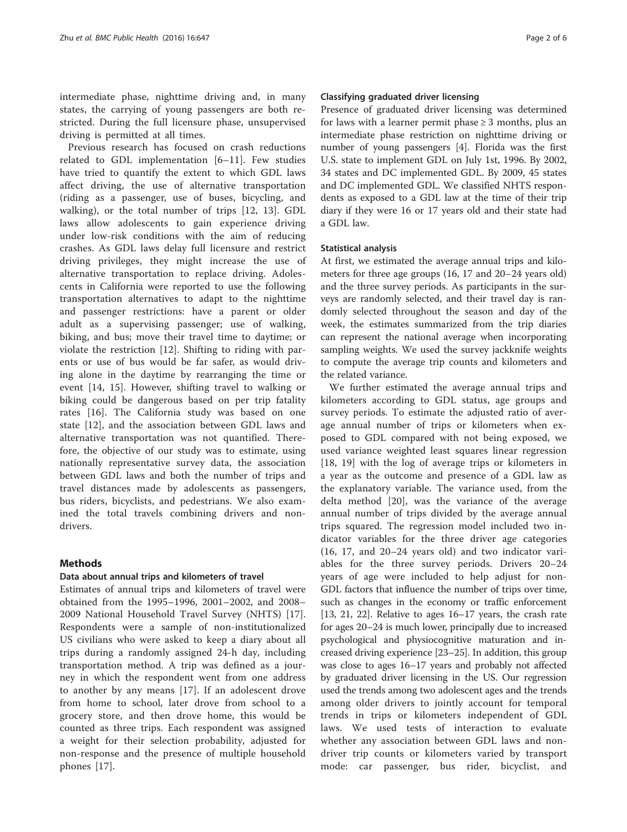intermediate phase, nighttime driving and, in many states, the carrying of young passengers are both restricted. During the full licensure phase, unsupervised driving is permitted at all times.

Previous research has focused on crash reductions related to GDL implementation [[6](#page-5-0)–[11\]](#page-5-0). Few studies have tried to quantify the extent to which GDL laws affect driving, the use of alternative transportation (riding as a passenger, use of buses, bicycling, and walking), or the total number of trips [[12, 13](#page-5-0)]. GDL laws allow adolescents to gain experience driving under low-risk conditions with the aim of reducing crashes. As GDL laws delay full licensure and restrict driving privileges, they might increase the use of alternative transportation to replace driving. Adolescents in California were reported to use the following transportation alternatives to adapt to the nighttime and passenger restrictions: have a parent or older adult as a supervising passenger; use of walking, biking, and bus; move their travel time to daytime; or violate the restriction [[12\]](#page-5-0). Shifting to riding with parents or use of bus would be far safer, as would driving alone in the daytime by rearranging the time or event [\[14](#page-5-0), [15](#page-5-0)]. However, shifting travel to walking or biking could be dangerous based on per trip fatality rates [\[16](#page-5-0)]. The California study was based on one state [[12\]](#page-5-0), and the association between GDL laws and alternative transportation was not quantified. Therefore, the objective of our study was to estimate, using nationally representative survey data, the association between GDL laws and both the number of trips and travel distances made by adolescents as passengers, bus riders, bicyclists, and pedestrians. We also examined the total travels combining drivers and nondrivers.

## Methods

## Data about annual trips and kilometers of travel

Estimates of annual trips and kilometers of travel were obtained from the 1995–1996, 2001–2002, and 2008– 2009 National Household Travel Survey (NHTS) [[17](#page-5-0)]. Respondents were a sample of non-institutionalized US civilians who were asked to keep a diary about all trips during a randomly assigned 24-h day, including transportation method. A trip was defined as a journey in which the respondent went from one address to another by any means [[17\]](#page-5-0). If an adolescent drove from home to school, later drove from school to a grocery store, and then drove home, this would be counted as three trips. Each respondent was assigned a weight for their selection probability, adjusted for non-response and the presence of multiple household phones [[17\]](#page-5-0).

## Classifying graduated driver licensing

Presence of graduated driver licensing was determined for laws with a learner permit phase  $\geq 3$  months, plus an intermediate phase restriction on nighttime driving or number of young passengers [\[4](#page-4-0)]. Florida was the first U.S. state to implement GDL on July 1st, 1996. By 2002, 34 states and DC implemented GDL. By 2009, 45 states and DC implemented GDL. We classified NHTS respondents as exposed to a GDL law at the time of their trip diary if they were 16 or 17 years old and their state had a GDL law.

### Statistical analysis

At first, we estimated the average annual trips and kilometers for three age groups (16, 17 and 20–24 years old) and the three survey periods. As participants in the surveys are randomly selected, and their travel day is randomly selected throughout the season and day of the week, the estimates summarized from the trip diaries can represent the national average when incorporating sampling weights. We used the survey jackknife weights to compute the average trip counts and kilometers and the related variance.

We further estimated the average annual trips and kilometers according to GDL status, age groups and survey periods. To estimate the adjusted ratio of average annual number of trips or kilometers when exposed to GDL compared with not being exposed, we used variance weighted least squares linear regression [[18, 19](#page-5-0)] with the log of average trips or kilometers in a year as the outcome and presence of a GDL law as the explanatory variable. The variance used, from the delta method [[20\]](#page-5-0), was the variance of the average annual number of trips divided by the average annual trips squared. The regression model included two indicator variables for the three driver age categories (16, 17, and 20–24 years old) and two indicator variables for the three survey periods. Drivers 20–24 years of age were included to help adjust for non-GDL factors that influence the number of trips over time, such as changes in the economy or traffic enforcement [[13](#page-5-0), [21](#page-5-0), [22\]](#page-5-0). Relative to ages 16–17 years, the crash rate for ages 20–24 is much lower, principally due to increased psychological and physiocognitive maturation and increased driving experience [\[23](#page-5-0)–[25](#page-5-0)]. In addition, this group was close to ages 16–17 years and probably not affected by graduated driver licensing in the US. Our regression used the trends among two adolescent ages and the trends among older drivers to jointly account for temporal trends in trips or kilometers independent of GDL laws. We used tests of interaction to evaluate whether any association between GDL laws and nondriver trip counts or kilometers varied by transport mode: car passenger, bus rider, bicyclist, and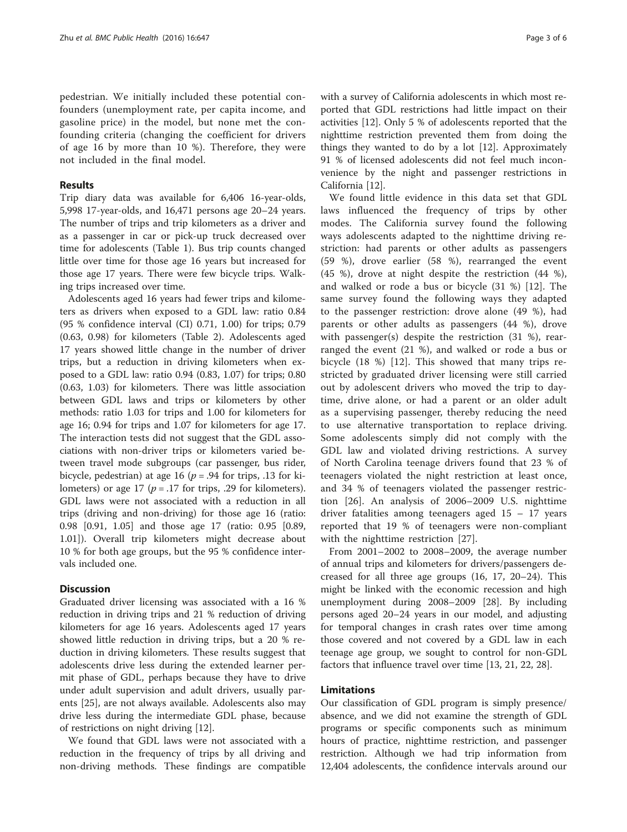pedestrian. We initially included these potential confounders (unemployment rate, per capita income, and gasoline price) in the model, but none met the confounding criteria (changing the coefficient for drivers of age 16 by more than 10 %). Therefore, they were not included in the final model.

## Results

Trip diary data was available for 6,406 16-year-olds, 5,998 17-year-olds, and 16,471 persons age 20–24 years. The number of trips and trip kilometers as a driver and as a passenger in car or pick-up truck decreased over time for adolescents (Table [1](#page-3-0)). Bus trip counts changed little over time for those age 16 years but increased for those age 17 years. There were few bicycle trips. Walking trips increased over time.

Adolescents aged 16 years had fewer trips and kilometers as drivers when exposed to a GDL law: ratio 0.84 (95 % confidence interval (CI) 0.71, 1.00) for trips; 0.79 (0.63, 0.98) for kilometers (Table [2\)](#page-4-0). Adolescents aged 17 years showed little change in the number of driver trips, but a reduction in driving kilometers when exposed to a GDL law: ratio 0.94 (0.83, 1.07) for trips; 0.80 (0.63, 1.03) for kilometers. There was little association between GDL laws and trips or kilometers by other methods: ratio 1.03 for trips and 1.00 for kilometers for age 16; 0.94 for trips and 1.07 for kilometers for age 17. The interaction tests did not suggest that the GDL associations with non-driver trips or kilometers varied between travel mode subgroups (car passenger, bus rider, bicycle, pedestrian) at age 16 ( $p = .94$  for trips, .13 for kilometers) or age 17 ( $p = .17$  for trips, .29 for kilometers). GDL laws were not associated with a reduction in all trips (driving and non-driving) for those age 16 (ratio: 0.98 [0.91, 1.05] and those age 17 (ratio: 0.95 [0.89, 1.01]). Overall trip kilometers might decrease about 10 % for both age groups, but the 95 % confidence intervals included one.

## **Discussion**

Graduated driver licensing was associated with a 16 % reduction in driving trips and 21 % reduction of driving kilometers for age 16 years. Adolescents aged 17 years showed little reduction in driving trips, but a 20 % reduction in driving kilometers. These results suggest that adolescents drive less during the extended learner permit phase of GDL, perhaps because they have to drive under adult supervision and adult drivers, usually parents [\[25\]](#page-5-0), are not always available. Adolescents also may drive less during the intermediate GDL phase, because of restrictions on night driving [[12](#page-5-0)].

We found that GDL laws were not associated with a reduction in the frequency of trips by all driving and non-driving methods. These findings are compatible

with a survey of California adolescents in which most reported that GDL restrictions had little impact on their activities [[12](#page-5-0)]. Only 5 % of adolescents reported that the nighttime restriction prevented them from doing the things they wanted to do by a lot [\[12](#page-5-0)]. Approximately 91 % of licensed adolescents did not feel much inconvenience by the night and passenger restrictions in California [\[12\]](#page-5-0).

We found little evidence in this data set that GDL laws influenced the frequency of trips by other modes. The California survey found the following ways adolescents adapted to the nighttime driving restriction: had parents or other adults as passengers (59 %), drove earlier (58 %), rearranged the event (45 %), drove at night despite the restriction (44 %), and walked or rode a bus or bicycle (31 %) [\[12](#page-5-0)]. The same survey found the following ways they adapted to the passenger restriction: drove alone (49 %), had parents or other adults as passengers (44 %), drove with passenger(s) despite the restriction (31 %), rearranged the event (21 %), and walked or rode a bus or bicycle (18 %) [\[12](#page-5-0)]. This showed that many trips restricted by graduated driver licensing were still carried out by adolescent drivers who moved the trip to daytime, drive alone, or had a parent or an older adult as a supervising passenger, thereby reducing the need to use alternative transportation to replace driving. Some adolescents simply did not comply with the GDL law and violated driving restrictions. A survey of North Carolina teenage drivers found that 23 % of teenagers violated the night restriction at least once, and 34 % of teenagers violated the passenger restriction [[26\]](#page-5-0). An analysis of 2006–2009 U.S. nighttime driver fatalities among teenagers aged 15 – 17 years reported that 19 % of teenagers were non-compliant with the nighttime restriction [\[27](#page-5-0)].

From 2001–2002 to 2008–2009, the average number of annual trips and kilometers for drivers/passengers decreased for all three age groups (16, 17, 20–24). This might be linked with the economic recession and high unemployment during 2008–2009 [[28\]](#page-5-0). By including persons aged 20–24 years in our model, and adjusting for temporal changes in crash rates over time among those covered and not covered by a GDL law in each teenage age group, we sought to control for non-GDL factors that influence travel over time [[13, 21, 22, 28](#page-5-0)].

## Limitations

Our classification of GDL program is simply presence/ absence, and we did not examine the strength of GDL programs or specific components such as minimum hours of practice, nighttime restriction, and passenger restriction. Although we had trip information from 12,404 adolescents, the confidence intervals around our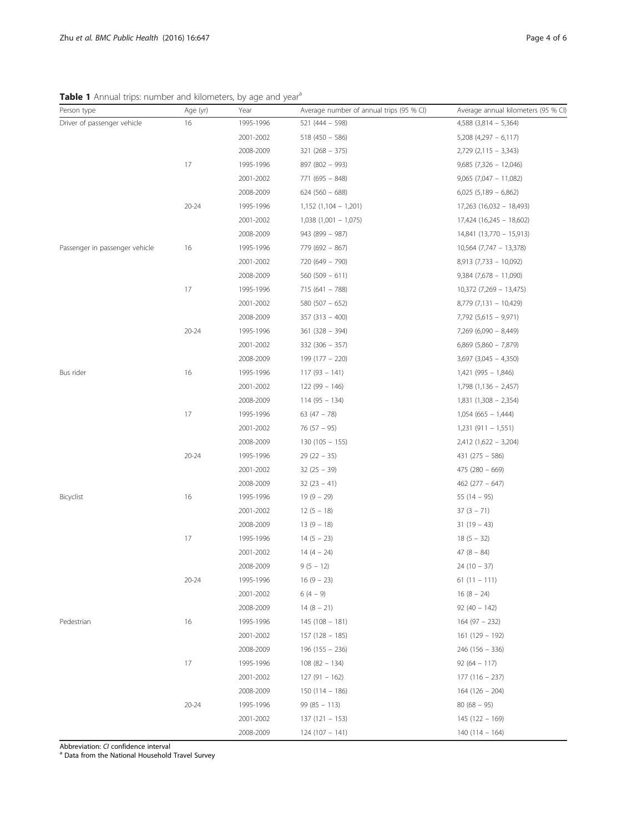<span id="page-3-0"></span>Table 1 Annual trips: number and kilometers, by age and year<sup>a</sup>

| Person type                    | Age (yr)  | Year      | Average number of annual trips (95 % CI) | Average annual kilometers (95 % CI) |
|--------------------------------|-----------|-----------|------------------------------------------|-------------------------------------|
| Driver of passenger vehicle    | 16        | 1995-1996 | $521(444 - 598)$                         | $4,588$ $(3,814 - 5,364)$           |
|                                |           | 2001-2002 | $518(450 - 586)$                         | $5,208$ (4,297 - 6,117)             |
|                                |           | 2008-2009 | $321 (268 - 375)$                        | $2,729$ $(2,115 - 3,343)$           |
|                                | 17        | 1995-1996 | 897 (802 - 993)                          | $9,685$ (7,326 - 12,046)            |
|                                |           | 2001-2002 | $771(695 - 848)$                         | $9,065$ (7,047 - 11,082)            |
|                                |           | 2008-2009 | $624(560 - 688)$                         | $6,025$ $(5,189 - 6,862)$           |
|                                | $20 - 24$ | 1995-1996 | $1,152$ (1,104 - 1,201)                  | 17,263 (16,032 - 18,493)            |
|                                |           | 2001-2002 | $1,038$ (1,001 - 1,075)                  | 17,424 (16,245 - 18,602)            |
|                                |           | 2008-2009 | 943 (899 - 987)                          | 14,841 (13,770 - 15,913)            |
| Passenger in passenger vehicle | 16        | 1995-1996 | $779(692 - 867)$                         | 10,564 (7,747 - 13,378)             |
|                                |           | 2001-2002 | $720(649 - 790)$                         | 8,913 (7,733 - 10,092)              |
|                                |           | 2008-2009 | $560(509 - 611)$                         | $9,384$ (7,678 - 11,090)            |
|                                | 17        | 1995-1996 | $715(641 - 788)$                         | 10,372 (7,269 - 13,475)             |
|                                |           | 2001-2002 | $580(507 - 652)$                         | 8,779 (7,131 - 10,429)              |
|                                |           | 2008-2009 | $357(313 - 400)$                         | 7,792 (5,615 - 9,971)               |
|                                | $20 - 24$ | 1995-1996 | $361 (328 - 394)$                        | 7,269 (6,090 - 8,449)               |
|                                |           | 2001-2002 | $332(306 - 357)$                         | $6,869$ $(5,860 - 7,879)$           |
|                                |           | 2008-2009 | 199 (177 - 220)                          | $3,697$ (3,045 - 4,350)             |
| Bus rider                      | 16        | 1995-1996 | $117(93 - 141)$                          | $1,421$ (995 - 1,846)               |
|                                |           | 2001-2002 | $122(99 - 146)$                          | $1,798$ $(1,136 - 2,457)$           |
|                                |           | 2008-2009 | $114(95 - 134)$                          | $1,831$ $(1,308 - 2,354)$           |
|                                | 17        | 1995-1996 | 63 $(47 - 78)$                           | $1,054(665 - 1,444)$                |
|                                |           | 2001-2002 | $76(57 - 95)$                            | $1,231$ (911 - 1,551)               |
|                                |           | 2008-2009 | $130(105 - 155)$                         | 2,412 (1,622 - 3,204)               |
|                                | $20 - 24$ | 1995-1996 | $29(22 - 35)$                            | $431 (275 - 586)$                   |
|                                |           | 2001-2002 | $32(25 - 39)$                            | $475(280 - 669)$                    |
|                                |           | 2008-2009 | $32(23 - 41)$                            | $462(277 - 647)$                    |
| Bicyclist                      | 16        | 1995-1996 | $19(9 - 29)$                             | 55 $(14 - 95)$                      |
|                                |           | 2001-2002 | $12(5 - 18)$                             | $37(3 - 71)$                        |
|                                |           | 2008-2009 | $13(9 - 18)$                             | $31(19-43)$                         |
|                                | 17        | 1995-1996 | $14(5 - 23)$                             | $18(5 - 32)$                        |
|                                |           | 2001-2002 | $14(4 - 24)$                             | 47 $(8 - 84)$                       |
|                                |           | 2008-2009 | $9(5 - 12)$                              | $24(10 - 37)$                       |
|                                | $20 - 24$ | 1995-1996 | $16(9 - 23)$                             | $61(11 - 111)$                      |
|                                |           | 2001-2002 | $6(4-9)$                                 | $16(8 - 24)$                        |
|                                |           | 2008-2009 | $14(8 - 21)$                             | $92(40 - 142)$                      |
| Pedestrian                     | 16        | 1995-1996 | $145(108 - 181)$                         | $164(97 - 232)$                     |
|                                |           | 2001-2002 | $157(128 - 185)$                         | $161(129 - 192)$                    |
|                                |           | 2008-2009 | 196 (155 - 236)                          | $246(156 - 336)$                    |
|                                | 17        | 1995-1996 | $108(82 - 134)$                          | $92(64 - 117)$                      |
|                                |           | 2001-2002 | $127(91 - 162)$                          | $177(116 - 237)$                    |
|                                |           | 2008-2009 | $150(114 - 186)$                         | $164(126 - 204)$                    |
|                                | $20 - 24$ | 1995-1996 | $99(85 - 113)$                           | $80(68 - 95)$                       |
|                                |           | 2001-2002 | $137(121 - 153)$                         | $145(122 - 169)$                    |
|                                |           | 2008-2009 | $124(107 - 141)$                         | $140(114 - 164)$                    |

Abbreviation:  $CI$  confidence interval<br><sup>a</sup> Data from the National Household Travel Survey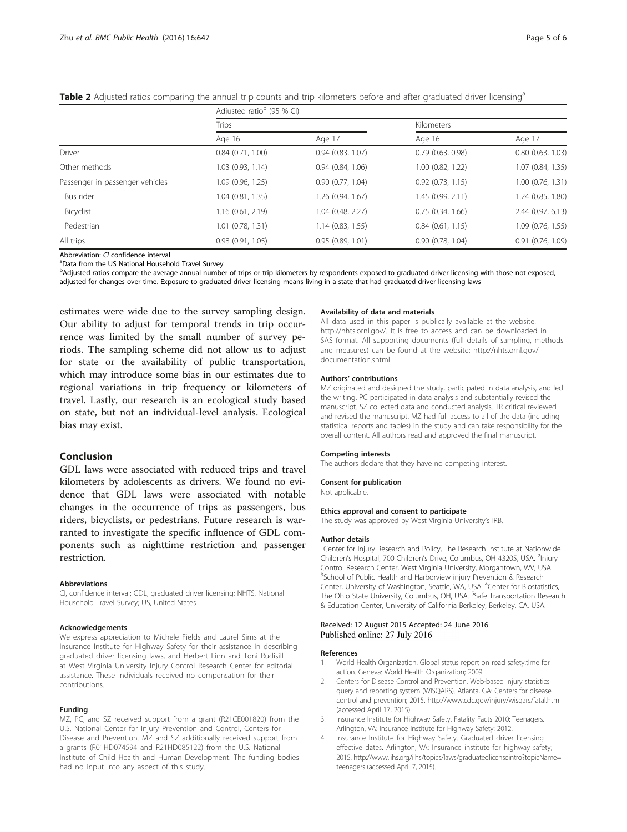<span id="page-4-0"></span>

|  |  |  | Table 2 Adjusted ratios comparing the annual trip counts and trip kilometers before and after graduated driver licensing <sup>a</sup> |  |
|--|--|--|---------------------------------------------------------------------------------------------------------------------------------------|--|
|  |  |  |                                                                                                                                       |  |

|                                 | Adjusted ratio <sup>b</sup> (95 % CI) |                   |                       |                       |  |  |
|---------------------------------|---------------------------------------|-------------------|-----------------------|-----------------------|--|--|
|                                 | Trips                                 |                   | Kilometers            |                       |  |  |
|                                 | Age 16                                | Age 17            | Age 16                | Age 17                |  |  |
| <b>Driver</b>                   | 0.84(0.71, 1.00)                      | 0.94(0.83, 1.07)  | 0.79(0.63, 0.98)      | $0.80$ $(0.63, 1.03)$ |  |  |
| Other methods                   | $1.03$ $(0.93, 1.14)$                 | 0.94(0.84, 1.06)  | 1.00(0.82, 1.22)      | 1.07(0.84, 1.35)      |  |  |
| Passenger in passenger vehicles | 1.09 (0.96, 1.25)                     | 0.90(0.77, 1.04)  | $0.92$ $(0.73, 1.15)$ | 1.00 (0.76, 1.31)     |  |  |
| Bus rider                       | $1.04$ $(0.81, 1.35)$                 | 1.26 (0.94, 1.67) | 1.45 (0.99, 2.11)     | 1.24 (0.85, 1.80)     |  |  |
| Bicyclist                       | 1.16(0.61, 2.19)                      | 1.04 (0.48, 2.27) | 0.75(0.34, 1.66)      | 2.44(0.97, 6.13)      |  |  |
| Pedestrian                      | $1.01$ $(0.78, 1.31)$                 | 1.14(0.83, 1.55)  | 0.84(0.61, 1.15)      | $1.09$ (0.76, 1.55)   |  |  |
| All trips                       | 0.98(0.91, 1.05)                      | 0.95(0.89, 1.01)  | 0.90(0.78, 1.04)      | 0.91(0.76, 1.09)      |  |  |

Abbreviation: *CI* confidence interval<br><sup>a</sup>Data from the US National Household Travel Survey

b<br>Adjusted ratios compare the average annual number of trips or trip kilometers by respondents exposed to graduated driver licensing with those not exposed, adjusted for changes over time. Exposure to graduated driver licensing means living in a state that had graduated driver licensing laws

estimates were wide due to the survey sampling design. Our ability to adjust for temporal trends in trip occurrence was limited by the small number of survey periods. The sampling scheme did not allow us to adjust for state or the availability of public transportation, which may introduce some bias in our estimates due to regional variations in trip frequency or kilometers of travel. Lastly, our research is an ecological study based on state, but not an individual-level analysis. Ecological bias may exist.

## Conclusion

GDL laws were associated with reduced trips and travel kilometers by adolescents as drivers. We found no evidence that GDL laws were associated with notable changes in the occurrence of trips as passengers, bus riders, bicyclists, or pedestrians. Future research is warranted to investigate the specific influence of GDL components such as nighttime restriction and passenger restriction.

#### Abbreviations

CI, confidence interval; GDL, graduated driver licensing; NHTS, National Household Travel Survey; US, United States

#### Acknowledgements

We express appreciation to Michele Fields and Laurel Sims at the Insurance Institute for Highway Safety for their assistance in describing graduated driver licensing laws, and Herbert Linn and Toni Rudisill at West Virginia University Injury Control Research Center for editorial assistance. These individuals received no compensation for their contributions.

#### Funding

MZ, PC, and SZ received support from a grant (R21CE001820) from the U.S. National Center for Injury Prevention and Control, Centers for Disease and Prevention. MZ and SZ additionally received support from a grants (R01HD074594 and R21HD085122) from the U.S. National Institute of Child Health and Human Development. The funding bodies had no input into any aspect of this study.

### Availability of data and materials

All data used in this paper is publically available at the website: [http://nhts.ornl.gov/.](http://nhts.ornl.gov/) It is free to access and can be downloaded in SAS format. All supporting documents (full details of sampling, methods and measures) can be found at the website: [http://nhts.ornl.gov/](http://nhts.ornl.gov/documentation.shtml) [documentation.shtml.](http://nhts.ornl.gov/documentation.shtml)

#### Authors' contributions

MZ originated and designed the study, participated in data analysis, and led the writing. PC participated in data analysis and substantially revised the manuscript. SZ collected data and conducted analysis. TR critical reviewed and revised the manuscript. MZ had full access to all of the data (including statistical reports and tables) in the study and can take responsibility for the overall content. All authors read and approved the final manuscript.

### Competing interests

The authors declare that they have no competing interest.

## Consent for publication

Not applicable

#### Ethics approval and consent to participate

The study was approved by West Virginia University's IRB.

#### Author details

<sup>1</sup> Center for Injury Research and Policy, The Research Institute at Nationwide Children's Hospital, 700 Children's Drive, Columbus, OH 43205, USA. <sup>2</sup>Injury Control Research Center, West Virginia University, Morgantown, WV, USA. <sup>3</sup>School of Public Health and Harborview injury Prevention & Research Center, University of Washington, Seattle, WA, USA. <sup>4</sup>Center for Biostatistics The Ohio State University, Columbus, OH, USA. <sup>5</sup>Safe Transportation Research & Education Center, University of California Berkeley, Berkeley, CA, USA.

#### Received: 12 August 2015 Accepted: 24 June 2016 Published online: 27 July 2016

#### References

- 1. World Health Organization. Global status report on road safety:time for action. Geneva: World Health Organization; 2009.
- 2. Centers for Disease Control and Prevention. Web-based injury statistics query and reporting system (WISQARS). Atlanta, GA: Centers for disease control and prevention; 2015.<http://www.cdc.gov/injury/wisqars/fatal.html> (accessed April 17, 2015).
- 3. Insurance Institute for Highway Safety. Fatality Facts 2010: Teenagers. Arlington, VA: Insurance Institute for Highway Safety; 2012.
- 4. Insurance Institute for Highway Safety. Graduated driver licensing effective dates. Arlington, VA: Insurance institute for highway safety; 2015. [http://www.iihs.org/iihs/topics/laws/graduatedlicenseintro?topicName=](http://www.iihs.org/iihs/topics/laws/graduatedlicenseintro?topicName=teenagers) [teenagers](http://www.iihs.org/iihs/topics/laws/graduatedlicenseintro?topicName=teenagers) (accessed April 7, 2015).